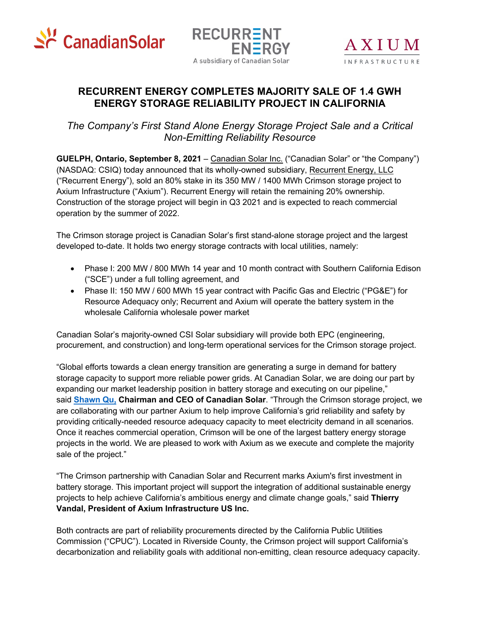





## **RECURRENT ENERGY COMPLETES MAJORITY SALE OF 1.4 GWH ENERGY STORAGE RELIABILITY PROJECT IN CALIFORNIA**

*The Company's First Stand Alone Energy Storage Project Sale and a Critical Non-Emitting Reliability Resource*

**GUELPH, Ontario, September 8, 2021** – Canadian Solar Inc. ("Canadian Solar" or "the Company") (NASDAQ: CSIQ) today announced that its wholly-owned subsidiary, Recurrent Energy, LLC ("Recurrent Energy"), sold an 80% stake in its 350 MW / 1400 MWh Crimson storage project to Axium Infrastructure ("Axium"). Recurrent Energy will retain the remaining 20% ownership. Construction of the storage project will begin in Q3 2021 and is expected to reach commercial operation by the summer of 2022.

The Crimson storage project is Canadian Solar's first stand-alone storage project and the largest developed to-date. It holds two energy storage contracts with local utilities, namely:

- Phase I: 200 MW / 800 MWh 14 year and 10 month contract with Southern California Edison ("SCE") under a full tolling agreement, and
- Phase II: 150 MW / 600 MWh 15 year contract with Pacific Gas and Electric ("PG&E") for Resource Adequacy only; Recurrent and Axium will operate the battery system in the wholesale California wholesale power market

Canadian Solar's majority-owned CSI Solar subsidiary will provide both EPC (engineering, procurement, and construction) and long-term operational services for the Crimson storage project.

"Global efforts towards a clean energy transition are generating a surge in demand for battery storage capacity to support more reliable power grids. At Canadian Solar, we are doing our part by expanding our market leadership position in battery storage and executing on our pipeline," said **Shawn Qu, Chairman and CEO of Canadian Solar**. "Through the Crimson storage project, we are collaborating with our partner Axium to help improve California's grid reliability and safety by providing critically-needed resource adequacy capacity to meet electricity demand in all scenarios. Once it reaches commercial operation, Crimson will be one of the largest battery energy storage projects in the world. We are pleased to work with Axium as we execute and complete the majority sale of the project."

"The Crimson partnership with Canadian Solar and Recurrent marks Axium's first investment in battery storage. This important project will support the integration of additional sustainable energy projects to help achieve California's ambitious energy and climate change goals," said **Thierry Vandal, President of Axium Infrastructure US Inc.**

Both contracts are part of reliability procurements directed by the California Public Utilities Commission ("CPUC"). Located in Riverside County, the Crimson project will support California's decarbonization and reliability goals with additional non-emitting, clean resource adequacy capacity.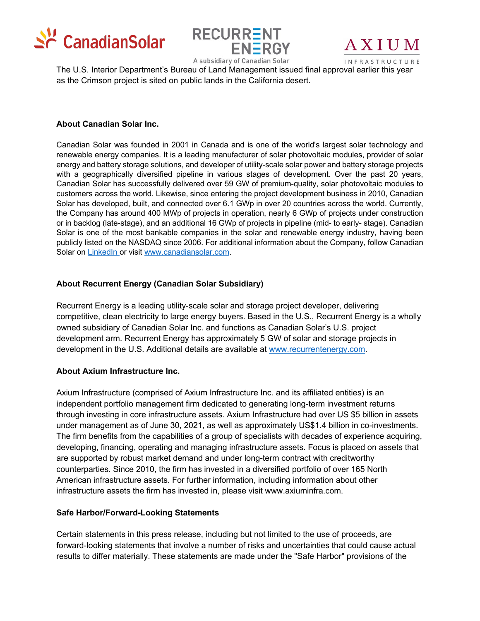





A subsidiary of Canadian Solar<br>The U.S. Interior Department's Bureau of Land Management issued final approval earlier this year as the Crimson project is sited on public lands in the California desert.

#### **About Canadian Solar Inc.**

Canadian Solar was founded in 2001 in Canada and is one of the world's largest solar technology and renewable energy companies. It is a leading manufacturer of solar photovoltaic modules, provider of solar energy and battery storage solutions, and developer of utility-scale solar power and battery storage projects with a geographically diversified pipeline in various stages of development. Over the past 20 years, Canadian Solar has successfully delivered over 59 GW of premium-quality, solar photovoltaic modules to customers across the world. Likewise, since entering the project development business in 2010, Canadian Solar has developed, built, and connected over 6.1 GWp in over 20 countries across the world. Currently, the Company has around 400 MWp of projects in operation, nearly 6 GWp of projects under construction or in backlog (late-stage), and an additional 16 GWp of projects in pipeline (mid- to early- stage). Canadian Solar is one of the most bankable companies in the solar and renewable energy industry, having been publicly listed on the NASDAQ since 2006. For additional information about the Company, follow Canadian Solar on LinkedIn or visit www.canadiansolar.com.

### **About Recurrent Energy (Canadian Solar Subsidiary)**

Recurrent Energy is a leading utility-scale solar and storage project developer, delivering competitive, clean electricity to large energy buyers. Based in the U.S., Recurrent Energy is a wholly owned subsidiary of Canadian Solar Inc. and functions as Canadian Solar's U.S. project development arm. Recurrent Energy has approximately 5 GW of solar and storage projects in development in the U.S. Additional details are available at www.recurrentenergy.com.

### **About Axium Infrastructure Inc.**

Axium Infrastructure (comprised of Axium Infrastructure Inc. and its affiliated entities) is an independent portfolio management firm dedicated to generating long-term investment returns through investing in core infrastructure assets. Axium Infrastructure had over US \$5 billion in assets under management as of June 30, 2021, as well as approximately US\$1.4 billion in co-investments. The firm benefits from the capabilities of a group of specialists with decades of experience acquiring, developing, financing, operating and managing infrastructure assets. Focus is placed on assets that are supported by robust market demand and under long-term contract with creditworthy counterparties. Since 2010, the firm has invested in a diversified portfolio of over 165 North American infrastructure assets. For further information, including information about other infrastructure assets the firm has invested in, please visit www.axiuminfra.com.

### **Safe Harbor/Forward-Looking Statements**

Certain statements in this press release, including but not limited to the use of proceeds, are forward-looking statements that involve a number of risks and uncertainties that could cause actual results to differ materially. These statements are made under the "Safe Harbor" provisions of the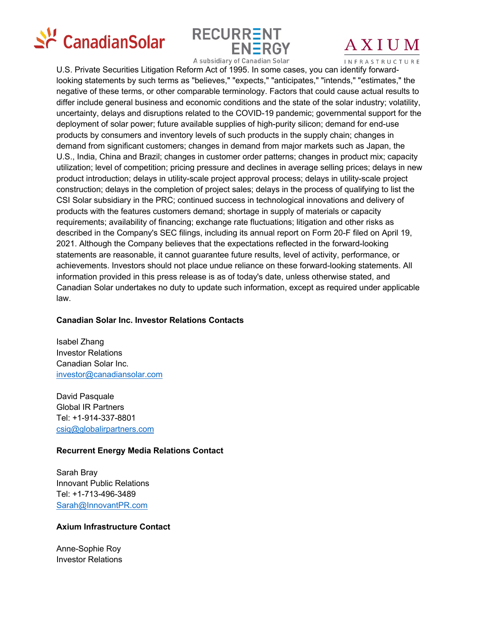



# AXIUM

A subsidiary of Canadian Solar **INFRASTRUCTURE**<br>U.S. Private Securities Litigation Reform Act of 1995. In some cases, you can identify forwardlooking statements by such terms as "believes," "expects," "anticipates," "intends," "estimates," the negative of these terms, or other comparable terminology. Factors that could cause actual results to differ include general business and economic conditions and the state of the solar industry; volatility, uncertainty, delays and disruptions related to the COVID-19 pandemic; governmental support for the deployment of solar power; future available supplies of high-purity silicon; demand for end-use products by consumers and inventory levels of such products in the supply chain; changes in demand from significant customers; changes in demand from major markets such as Japan, the U.S., India, China and Brazil; changes in customer order patterns; changes in product mix; capacity utilization; level of competition; pricing pressure and declines in average selling prices; delays in new product introduction; delays in utility-scale project approval process; delays in utility-scale project construction; delays in the completion of project sales; delays in the process of qualifying to list the CSI Solar subsidiary in the PRC; continued success in technological innovations and delivery of products with the features customers demand; shortage in supply of materials or capacity requirements; availability of financing; exchange rate fluctuations; litigation and other risks as described in the Company's SEC filings, including its annual report on Form 20-F filed on April 19, 2021. Although the Company believes that the expectations reflected in the forward-looking statements are reasonable, it cannot guarantee future results, level of activity, performance, or achievements. Investors should not place undue reliance on these forward-looking statements. All information provided in this press release is as of today's date, unless otherwise stated, and Canadian Solar undertakes no duty to update such information, except as required under applicable law.

### **Canadian Solar Inc. Investor Relations Contacts**

Isabel Zhang Investor Relations Canadian Solar Inc. investor@canadiansolar.com

David Pasquale Global IR Partners Tel: +1-914-337-8801 csiq@globalirpartners.com

### **Recurrent Energy Media Relations Contact**

Sarah Bray Innovant Public Relations Tel: +1-713-496-3489 Sarah@InnovantPR.com

### **Axium Infrastructure Contact**

Anne-Sophie Roy Investor Relations